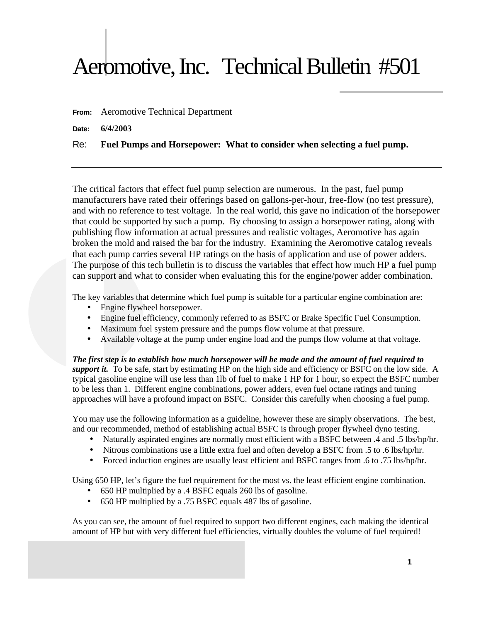## Aeromotive, Inc. Technical Bulletin #501

**From:** Aeromotive Technical Department

**Date: 6/4/2003**

## Re: **Fuel Pumps and Horsepower: What to consider when selecting a fuel pump.**

The critical factors that effect fuel pump selection are numerous. In the past, fuel pump manufacturers have rated their offerings based on gallons-per-hour, free-flow (no test pressure), and with no reference to test voltage. In the real world, this gave no indication of the horsepower that could be supported by such a pump. By choosing to assign a horsepower rating, along with publishing flow information at actual pressures and realistic voltages, Aeromotive has again broken the mold and raised the bar for the industry. Examining the Aeromotive catalog reveals that each pump carries several HP ratings on the basis of application and use of power adders. The purpose of this tech bulletin is to discuss the variables that effect how much HP a fuel pump can support and what to consider when evaluating this for the engine/power adder combination.

The key variables that determine which fuel pump is suitable for a particular engine combination are:

- Engine flywheel horsepower.
- Engine fuel efficiency, commonly referred to as BSFC or Brake Specific Fuel Consumption.
- Maximum fuel system pressure and the pumps flow volume at that pressure.
- Available voltage at the pump under engine load and the pumps flow volume at that voltage.

*The first step is to establish how much horsepower will be made and the amount of fuel required to support it.* To be safe, start by estimating HP on the high side and efficiency or BSFC on the low side. A typical gasoline engine will use less than 1lb of fuel to make 1 HP for 1 hour, so expect the BSFC number to be less than 1. Different engine combinations, power adders, even fuel octane ratings and tuning approaches will have a profound impact on BSFC. Consider this carefully when choosing a fuel pump.

You may use the following information as a guideline, however these are simply observations. The best, and our recommended, method of establishing actual BSFC is through proper flywheel dyno testing.

- Naturally aspirated engines are normally most efficient with a BSFC between .4 and .5 lbs/hp/hr.
- Nitrous combinations use a little extra fuel and often develop a BSFC from .5 to .6 lbs/hp/hr.
- Forced induction engines are usually least efficient and BSFC ranges from .6 to .75 lbs/hp/hr.

Using 650 HP, let's figure the fuel requirement for the most vs. the least efficient engine combination.

- 650 HP multiplied by a .4 BSFC equals 260 lbs of gasoline.
- 650 HP multiplied by a .75 BSFC equals 487 lbs of gasoline.

As you can see, the amount of fuel required to support two different engines, each making the identical amount of HP but with very different fuel efficiencies, virtually doubles the volume of fuel required!